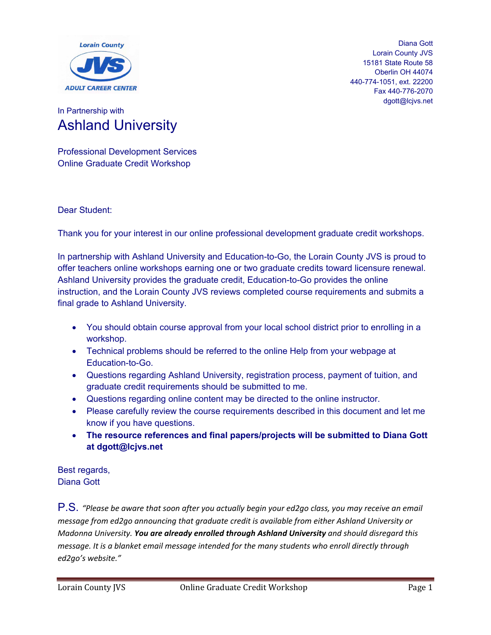

Diana Gott Lorain County JVS 15181 State Route 58 Oberlin OH 44074 440-774-1051, ext. 22200 Fax 440-776-2070 dgott@lcjvs.net

### In Partnership with Ashland University

Professional Development Services Online Graduate Credit Workshop

Dear Student:

Thank you for your interest in our online professional development graduate credit workshops.

In partnership with Ashland University and Education-to-Go, the Lorain County JVS is proud to offer teachers online workshops earning one or two graduate credits toward licensure renewal. Ashland University provides the graduate credit, Education-to-Go provides the online instruction, and the Lorain County JVS reviews completed course requirements and submits a final grade to Ashland University.

- You should obtain course approval from your local school district prior to enrolling in a workshop.
- Technical problems should be referred to the online Help from your webpage at Education-to-Go.
- Questions regarding Ashland University, registration process, payment of tuition, and graduate credit requirements should be submitted to me.
- Questions regarding online content may be directed to the online instructor.
- Please carefully review the course requirements described in this document and let me know if you have questions.
- **The resource references and final papers/projects will be submitted to Diana Gott at dgott@lcjvs.net**

Best regards, Diana Gott

P.S. *"Please be aware that soon after you actually begin your ed2go class, you may receive an email message from ed2go announcing that graduate credit is available from either Ashland University or Madonna University. You are already enrolled through Ashland University and should disregard this message. It is a blanket email message intended for the many students who enroll directly through ed2go's website."*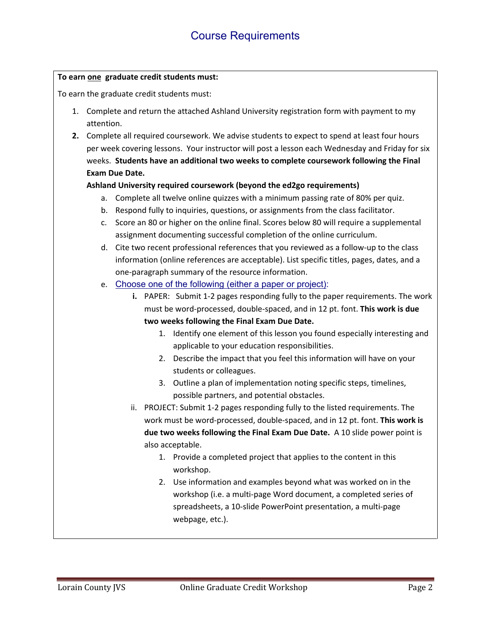#### **To earn one graduate credit students must:**

To earn the graduate credit students must:

- 1. Complete and return the attached Ashland University registration form with payment to my attention.
- **2.** Complete all required coursework. We advise students to expect to spend at least four hours per week covering lessons. Your instructor will post a lesson each Wednesday and Friday for six weeks. **Students have an additional two weeks to complete coursework following the Final Exam Due Date.**

### **Ashland University required coursework (beyond the ed2go requirements)**

- a. Complete all twelve online quizzes with a minimum passing rate of 80% per quiz.
- b. Respond fully to inquiries, questions, or assignments from the class facilitator.
- c. Score an 80 or higher on the online final. Scores below 80 will require a supplemental assignment documenting successful completion of the online curriculum.
- d. Cite two recent professional references that you reviewed as a follow-up to the class information (online references are acceptable). List specific titles, pages, dates, and a one-paragraph summary of the resource information.
- e. Choose one of the following (either a paper or project):
	- **i.** PAPER: Submit 1-2 pages responding fully to the paper requirements. The work must be word-processed, double-spaced, and in 12 pt. font. **This work is due two weeks following the Final Exam Due Date.**
		- 1. Identify one element of this lesson you found especially interesting and applicable to your education responsibilities.
		- 2. Describe the impact that you feel this information will have on your students or colleagues.
		- 3. Outline a plan of implementation noting specific steps, timelines, possible partners, and potential obstacles.
	- ii. PROJECT: Submit 1-2 pages responding fully to the listed requirements. The work must be word-processed, double-spaced, and in 12 pt. font. **This work is due two weeks following the Final Exam Due Date.** A 10 slide power point is also acceptable.
		- 1. Provide a completed project that applies to the content in this workshop.
		- 2. Use information and examples beyond what was worked on in the workshop (i.e. a multi-page Word document, a completed series of spreadsheets, a 10-slide PowerPoint presentation, a multi-page webpage, etc.).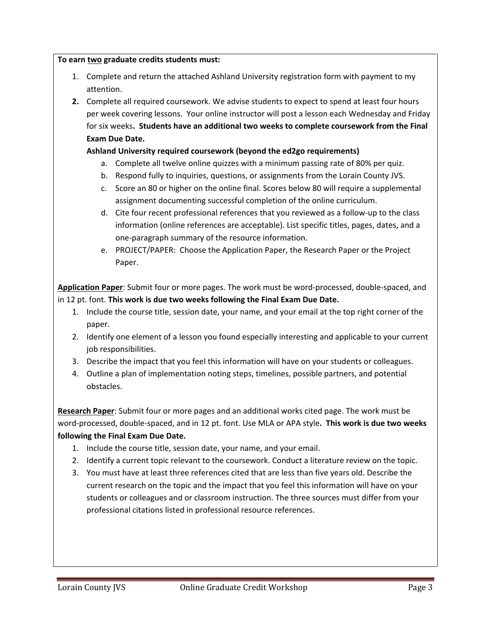#### **To earn two graduate credits students must:**

- 1. Complete and return the attached Ashland University registration form with payment to my attention.
- **2.** Complete all required coursework. We advise students to expect to spend at least four hours per week covering lessons. Your online instructor will post a lesson each Wednesday and Friday for six weeks**. Students have an additional two weeks to complete coursework from the Final Exam Due Date.**

#### **Ashland University required coursework (beyond the ed2go requirements)**

- a. Complete all twelve online quizzes with a minimum passing rate of 80% per quiz.
- b. Respond fully to inquiries, questions, or assignments from the Lorain County JVS.
- c. Score an 80 or higher on the online final. Scores below 80 will require a supplemental assignment documenting successful completion of the online curriculum.
- d. Cite four recent professional references that you reviewed as a follow-up to the class information (online references are acceptable). List specific titles, pages, dates, and a one-paragraph summary of the resource information.
- e. PROJECT/PAPER: Choose the Application Paper, the Research Paper or the Project Paper.

**Application Paper**: Submit four or more pages. The work must be word-processed, double-spaced, and in 12 pt. font. **This work is due two weeks following the Final Exam Due Date.**

- 1. Include the course title, session date, your name, and your email at the top right corner of the paper.
- 2. Identify one element of a lesson you found especially interesting and applicable to your current job responsibilities.
- 3. Describe the impact that you feel this information will have on your students or colleagues.
- 4. Outline a plan of implementation noting steps, timelines, possible partners, and potential obstacles.

**Research Paper**: Submit four or more pages and an additional works cited page. The work must be word-processed, double-spaced, and in 12 pt. font. Use MLA or APA style**. This work is due two weeks following the Final Exam Due Date.**

- 1. Include the course title, session date, your name, and your email.
- 2. Identify a current topic relevant to the coursework. Conduct a literature review on the topic.
- 3. You must have at least three references cited that are less than five years old. Describe the current research on the topic and the impact that you feel this information will have on your students or colleagues and or classroom instruction. The three sources must differ from your professional citations listed in professional resource references.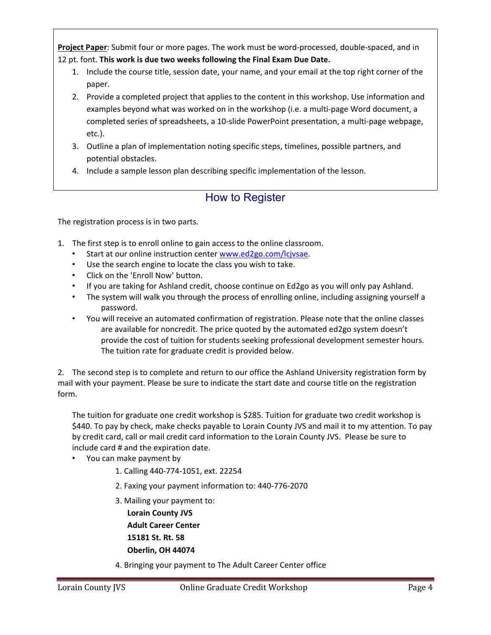**Project Paper**: Submit four or more pages. The work must be word-processed, double-spaced, and in 12 pt. font. **This work is due two weeks following the Final Exam Due Date.**

- 1. Include the course title, session date, your name, and your email at the top right corner of the paper.
- 2. Provide a completed project that applies to the content in this workshop. Use information and examples beyond what was worked on in the workshop (i.e. a multi-page Word document, a completed series of spreadsheets, a 10-slide PowerPoint presentation, a multi-page webpage, etc.).
- 3. Outline a plan of implementation noting specific steps, timelines, possible partners, and potential obstacles.
- 4. Include a sample lesson plan describing specific implementation of the lesson.

# How to Register

The registration process is in two parts.

- 1. The first step is to enroll online to gain access to the online classroom.
	- Start at our online instruction center [www.ed2go.com/lcjvsae.](http://www.ed2go.com/lcjvsae)
	- Use the search engine to locate the class you wish to take.
	- Click on the 'Enroll Now' button.
	- If you are taking for Ashland credit, choose continue on Ed2go as you will only pay Ashland.
	- The system will walk you through the process of enrolling online, including assigning yourself a password.
	- You will receive an automated confirmation of registration. Please note that the online classes are available for noncredit. The price quoted by the automated ed2go system doesn't provide the cost of tuition for students seeking professional development semester hours. The tuition rate for graduate credit is provided below.

2. The second step is to complete and return to our office the Ashland University registration form by mail with your payment. Please be sure to indicate the start date and course title on the registration form.

The tuition for graduate one credit workshop is \$285. Tuition for graduate two credit workshop is \$440. To pay by check, make checks payable to Lorain County JVS and mail it to my attention. To pay by credit card, call or mail credit card information to the Lorain County JVS. Please be sure to include card # and the expiration date.

- You can make payment by
	- 1. Calling 440-774-1051, ext. 22254
	- 2. Faxing your payment information to: 440-776-2070
	- 3. Mailing your payment to:

 **Lorain County JVS Adult Career Center 15181 St. Rt. 58 Oberlin, OH 44074**

4. Bringing your payment to The Adult Career Center office